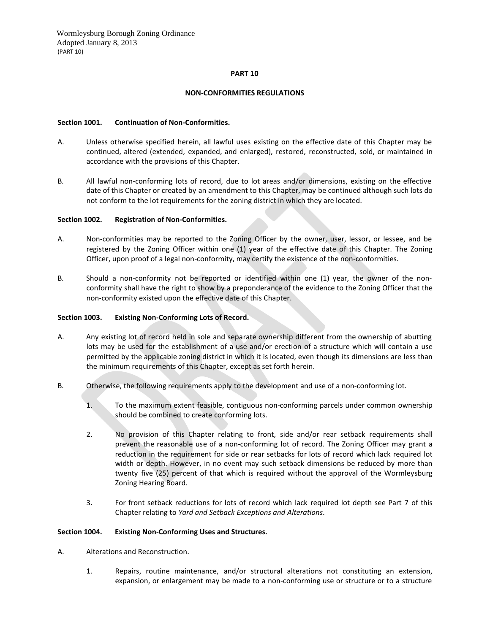## **PART 10**

# **NON-CONFORMITIES REGULATIONS**

## **Section 1001. Continuation of Non-Conformities.**

- A. Unless otherwise specified herein, all lawful uses existing on the effective date of this Chapter may be continued, altered (extended, expanded, and enlarged), restored, reconstructed, sold, or maintained in accordance with the provisions of this Chapter.
- B. All lawful non-conforming lots of record, due to lot areas and/or dimensions, existing on the effective date of this Chapter or created by an amendment to this Chapter, may be continued although such lots do not conform to the lot requirements for the zoning district in which they are located.

## **Section 1002. Registration of Non-Conformities.**

- A. Non-conformities may be reported to the Zoning Officer by the owner, user, lessor, or lessee, and be registered by the Zoning Officer within one (1) year of the effective date of this Chapter. The Zoning Officer, upon proof of a legal non-conformity, may certify the existence of the non-conformities.
- B. Should a non-conformity not be reported or identified within one (1) year, the owner of the nonconformity shall have the right to show by a preponderance of the evidence to the Zoning Officer that the non-conformity existed upon the effective date of this Chapter.

#### **Section 1003. Existing Non-Conforming Lots of Record.**

- A. Any existing lot of record held in sole and separate ownership different from the ownership of abutting lots may be used for the establishment of a use and/or erection of a structure which will contain a use permitted by the applicable zoning district in which it is located, even though its dimensions are less than the minimum requirements of this Chapter, except as set forth herein.
- B. Otherwise, the following requirements apply to the development and use of a non-conforming lot.
	- 1. To the maximum extent feasible, contiguous non-conforming parcels under common ownership should be combined to create conforming lots.
	- 2. No provision of this Chapter relating to front, side and/or rear setback requirements shall prevent the reasonable use of a non-conforming lot of record. The Zoning Officer may grant a reduction in the requirement for side or rear setbacks for lots of record which lack required lot width or depth. However, in no event may such setback dimensions be reduced by more than twenty five (25) percent of that which is required without the approval of the Wormleysburg Zoning Hearing Board.
	- 3. For front setback reductions for lots of record which lack required lot depth see Part 7 of this Chapter relating to *Yard and Setback Exceptions and Alterations*.

## **Section 1004. Existing Non-Conforming Uses and Structures.**

- A. Alterations and Reconstruction.
	- 1. Repairs, routine maintenance, and/or structural alterations not constituting an extension, expansion, or enlargement may be made to a non-conforming use or structure or to a structure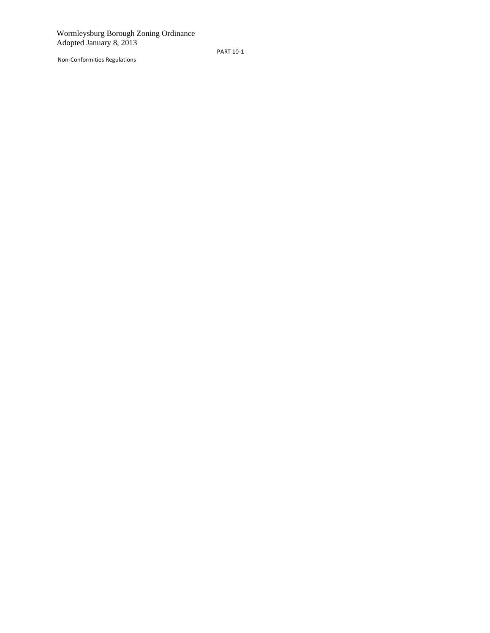Non-Conformities Regulations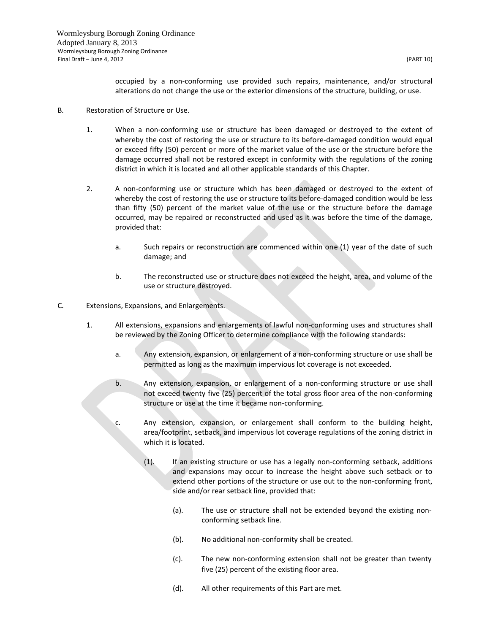occupied by a non-conforming use provided such repairs, maintenance, and/or structural alterations do not change the use or the exterior dimensions of the structure, building, or use.

- B. Restoration of Structure or Use.
	- 1. When a non-conforming use or structure has been damaged or destroyed to the extent of whereby the cost of restoring the use or structure to its before-damaged condition would equal or exceed fifty (50) percent or more of the market value of the use or the structure before the damage occurred shall not be restored except in conformity with the regulations of the zoning district in which it is located and all other applicable standards of this Chapter.
	- 2. A non-conforming use or structure which has been damaged or destroyed to the extent of whereby the cost of restoring the use or structure to its before-damaged condition would be less than fifty (50) percent of the market value of the use or the structure before the damage occurred, may be repaired or reconstructed and used as it was before the time of the damage, provided that:
		- a. Such repairs or reconstruction are commenced within one (1) year of the date of such damage; and
		- b. The reconstructed use or structure does not exceed the height, area, and volume of the use or structure destroyed.
- C. Extensions, Expansions, and Enlargements.
	- 1. All extensions, expansions and enlargements of lawful non-conforming uses and structures shall be reviewed by the Zoning Officer to determine compliance with the following standards:
		- a. Any extension, expansion, or enlargement of a non-conforming structure or use shall be permitted as long as the maximum impervious lot coverage is not exceeded.
		- b. Any extension, expansion, or enlargement of a non-conforming structure or use shall not exceed twenty five (25) percent of the total gross floor area of the non-conforming structure or use at the time it became non-conforming.
		- c. Any extension, expansion, or enlargement shall conform to the building height, area/footprint, setback, and impervious lot coverage regulations of the zoning district in which it is located.
			- (1). If an existing structure or use has a legally non-conforming setback, additions and expansions may occur to increase the height above such setback or to extend other portions of the structure or use out to the non-conforming front, side and/or rear setback line, provided that:
				- (a). The use or structure shall not be extended beyond the existing nonconforming setback line.
				- (b). No additional non-conformity shall be created.
				- (c). The new non-conforming extension shall not be greater than twenty five (25) percent of the existing floor area.
				- (d). All other requirements of this Part are met.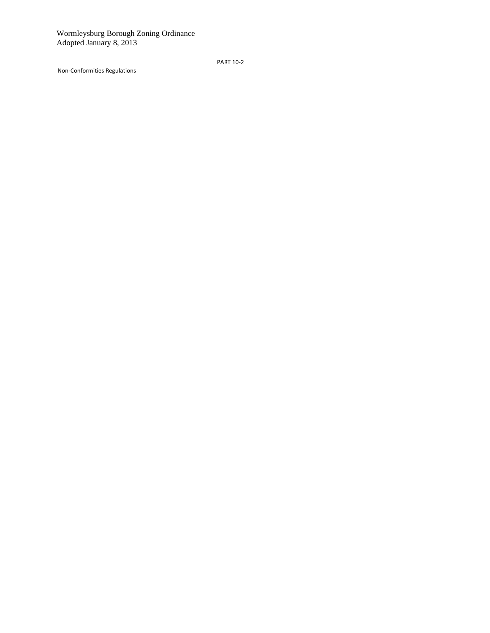Non-Conformities Regulations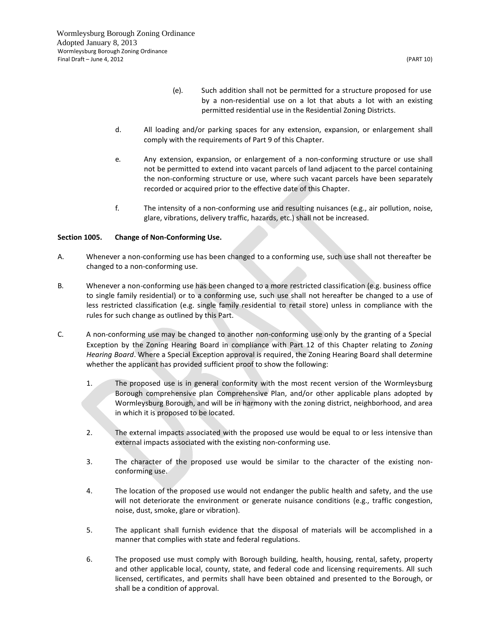- (e). Such addition shall not be permitted for a structure proposed for use by a non-residential use on a lot that abuts a lot with an existing permitted residential use in the Residential Zoning Districts.
- d. All loading and/or parking spaces for any extension, expansion, or enlargement shall comply with the requirements of Part 9 of this Chapter.
- e. Any extension, expansion, or enlargement of a non-conforming structure or use shall not be permitted to extend into vacant parcels of land adjacent to the parcel containing the non-conforming structure or use, where such vacant parcels have been separately recorded or acquired prior to the effective date of this Chapter.
- f. The intensity of a non-conforming use and resulting nuisances (e.g., air pollution, noise, glare, vibrations, delivery traffic, hazards, etc.) shall not be increased.

# **Section 1005. Change of Non-Conforming Use.**

- A. Whenever a non-conforming use has been changed to a conforming use, such use shall not thereafter be changed to a non-conforming use.
- B. Whenever a non-conforming use has been changed to a more restricted classification (e.g. business office to single family residential) or to a conforming use, such use shall not hereafter be changed to a use of less restricted classification (e.g. single family residential to retail store) unless in compliance with the rules for such change as outlined by this Part.
- C. A non-conforming use may be changed to another non-conforming use only by the granting of a Special Exception by the Zoning Hearing Board in compliance with Part 12 of this Chapter relating to *Zoning Hearing Board*. Where a Special Exception approval is required, the Zoning Hearing Board shall determine whether the applicant has provided sufficient proof to show the following:
	- 1. The proposed use is in general conformity with the most recent version of the Wormleysburg Borough comprehensive plan Comprehensive Plan, and/or other applicable plans adopted by Wormleysburg Borough, and will be in harmony with the zoning district, neighborhood, and area in which it is proposed to be located.
	- 2. The external impacts associated with the proposed use would be equal to or less intensive than external impacts associated with the existing non-conforming use.
	- 3. The character of the proposed use would be similar to the character of the existing nonconforming use.
	- 4. The location of the proposed use would not endanger the public health and safety, and the use will not deteriorate the environment or generate nuisance conditions (e.g., traffic congestion, noise, dust, smoke, glare or vibration).
	- 5. The applicant shall furnish evidence that the disposal of materials will be accomplished in a manner that complies with state and federal regulations.
	- 6. The proposed use must comply with Borough building, health, housing, rental, safety, property and other applicable local, county, state, and federal code and licensing requirements. All such licensed, certificates, and permits shall have been obtained and presented to the Borough, or shall be a condition of approval.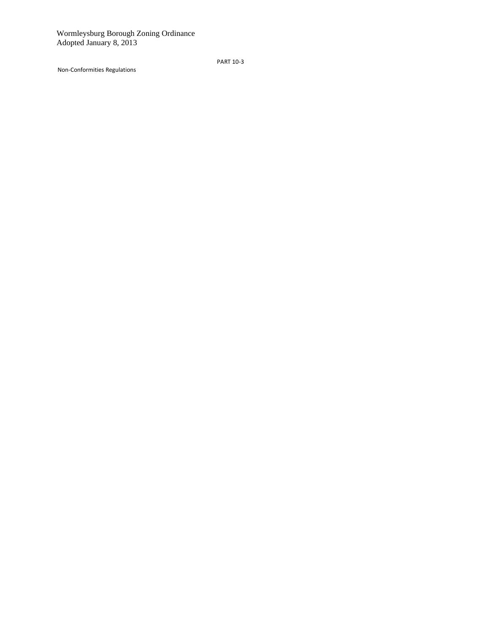Non-Conformities Regulations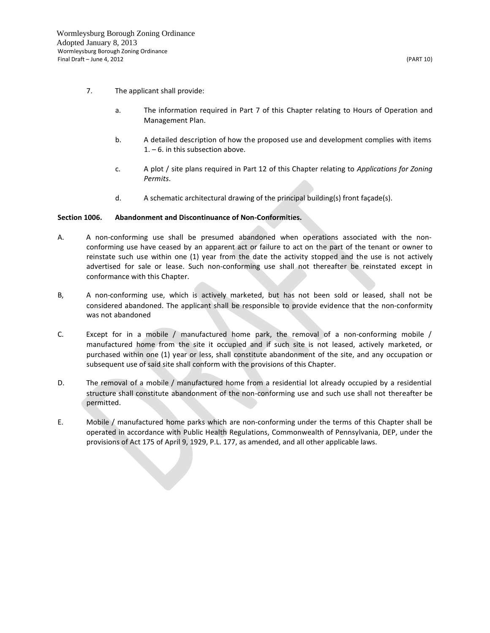- 7. The applicant shall provide:
	- a. The information required in Part 7 of this Chapter relating to Hours of Operation and Management Plan.
	- b. A detailed description of how the proposed use and development complies with items 1. – 6. in this subsection above.
	- c. A plot / site plans required in Part 12 of this Chapter relating to *Applications for Zoning Permits*.
	- d. A schematic architectural drawing of the principal building(s) front façade(s).

# **Section 1006. Abandonment and Discontinuance of Non-Conformities.**

- A. A non-conforming use shall be presumed abandoned when operations associated with the nonconforming use have ceased by an apparent act or failure to act on the part of the tenant or owner to reinstate such use within one (1) year from the date the activity stopped and the use is not actively advertised for sale or lease. Such non-conforming use shall not thereafter be reinstated except in conformance with this Chapter.
- B, A non-conforming use, which is actively marketed, but has not been sold or leased, shall not be considered abandoned. The applicant shall be responsible to provide evidence that the non-conformity was not abandoned
- C. Except for in a mobile / manufactured home park, the removal of a non-conforming mobile / manufactured home from the site it occupied and if such site is not leased, actively marketed, or purchased within one (1) year or less, shall constitute abandonment of the site, and any occupation or subsequent use of said site shall conform with the provisions of this Chapter.
- D. The removal of a mobile / manufactured home from a residential lot already occupied by a residential structure shall constitute abandonment of the non-conforming use and such use shall not thereafter be permitted.
- E. Mobile / manufactured home parks which are non-conforming under the terms of this Chapter shall be operated in accordance with Public Health Regulations, Commonwealth of Pennsylvania, DEP, under the provisions of Act 175 of April 9, 1929, P.L. 177, as amended, and all other applicable laws.